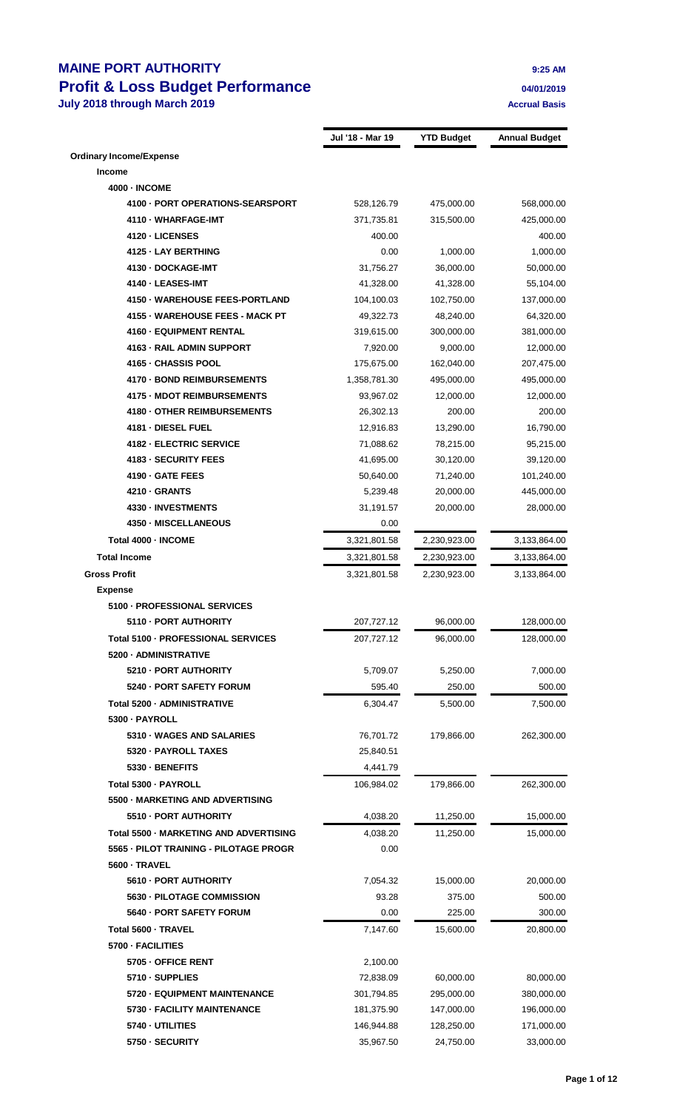## **MAINE PORT AUTHORITY 9:25 AM Profit & Loss Budget Performance 04/01/2019 July 2018 through March 2019 Accrual Basis Accrual Basis Accrual Basis**

|                                        | Jul '18 - Mar 19 | <b>YTD Budget</b> | <b>Annual Budget</b> |
|----------------------------------------|------------------|-------------------|----------------------|
| <b>Ordinary Income/Expense</b>         |                  |                   |                      |
| <b>Income</b>                          |                  |                   |                      |
| <b>4000 - INCOME</b>                   |                  |                   |                      |
| 4100 - PORT OPERATIONS-SEARSPORT       | 528,126.79       | 475,000.00        | 568,000.00           |
| 4110 - WHARFAGE-IMT                    | 371,735.81       | 315,500.00        | 425,000.00           |
| 4120 - LICENSES                        | 400.00           |                   | 400.00               |
| 4125 - LAY BERTHING                    | 0.00             | 1,000.00          | 1,000.00             |
| 4130 - DOCKAGE-IMT                     | 31,756.27        | 36,000.00         | 50,000.00            |
| 4140 - LEASES-IMT                      | 41,328.00        | 41,328.00         | 55,104.00            |
| 4150 - WAREHOUSE FEES-PORTLAND         | 104,100.03       | 102,750.00        | 137,000.00           |
| 4155 - WAREHOUSE FEES - MACK PT        | 49,322.73        | 48,240.00         | 64,320.00            |
| 4160 - EQUIPMENT RENTAL                | 319,615.00       | 300,000.00        | 381,000.00           |
| 4163 - RAIL ADMIN SUPPORT              | 7,920.00         | 9,000.00          | 12,000.00            |
| 4165 - CHASSIS POOL                    | 175,675.00       | 162,040.00        | 207,475.00           |
| 4170 - BOND REIMBURSEMENTS             | 1,358,781.30     | 495,000.00        | 495,000.00           |
| <b>4175 - MDOT REIMBURSEMENTS</b>      | 93,967.02        | 12,000.00         | 12,000.00            |
| 4180 - OTHER REIMBURSEMENTS            | 26,302.13        | 200.00            | 200.00               |
| 4181 - DIESEL FUEL                     | 12,916.83        | 13,290.00         | 16,790.00            |
| 4182 - ELECTRIC SERVICE                | 71,088.62        | 78,215.00         | 95,215.00            |
| 4183 - SECURITY FEES                   | 41,695.00        | 30,120.00         | 39,120.00            |
| 4190 GATE FEES                         | 50,640.00        | 71,240.00         | 101,240.00           |
| 4210 - GRANTS                          | 5,239.48         | 20,000.00         | 445,000.00           |
| 4330 - INVESTMENTS                     | 31,191.57        | 20,000.00         | 28,000.00            |
| 4350 - MISCELLANEOUS                   | 0.00             |                   |                      |
| Total 4000 - INCOME                    | 3,321,801.58     | 2,230,923.00      | 3,133,864.00         |
| <b>Total Income</b>                    | 3,321,801.58     | 2,230,923.00      | 3,133,864.00         |
| <b>Gross Profit</b>                    | 3,321,801.58     | 2,230,923.00      | 3,133,864.00         |
| <b>Expense</b>                         |                  |                   |                      |
| 5100 - PROFESSIONAL SERVICES           |                  |                   |                      |
| 5110 - PORT AUTHORITY                  | 207,727.12       | 96,000.00         | 128,000.00           |
| Total 5100 - PROFESSIONAL SERVICES     | 207,727.12       | 96.000.00         | 128,000.00           |
| 5200 - ADMINISTRATIVE                  |                  |                   |                      |
| 5210 - PORT AUTHORITY                  | 5,709.07         | 5,250.00          | 7,000.00             |
| 5240 - PORT SAFETY FORUM               | 595.40           | 250.00            | 500.00               |
| Total 5200 - ADMINISTRATIVE            | 6,304.47         | 5,500.00          | 7,500.00             |
| 5300 - PAYROLL                         |                  |                   |                      |
| 5310 WAGES AND SALARIES                | 76,701.72        | 179,866.00        | 262,300.00           |
| 5320 - PAYROLL TAXES                   | 25,840.51        |                   |                      |
| 5330 - BENEFITS                        | 4,441.79         |                   |                      |
| Total 5300 - PAYROLL                   | 106,984.02       | 179,866.00        | 262,300.00           |
| 5500 - MARKETING AND ADVERTISING       |                  |                   |                      |
| 5510 - PORT AUTHORITY                  | 4,038.20         | 11,250.00         | 15,000.00            |
| Total 5500 - MARKETING AND ADVERTISING | 4,038.20         | 11,250.00         | 15,000.00            |
| 5565 - PILOT TRAINING - PILOTAGE PROGR | 0.00             |                   |                      |
| 5600 - TRAVEL                          |                  |                   |                      |
| 5610 - PORT AUTHORITY                  | 7,054.32         | 15,000.00         | 20,000.00            |
| 5630 - PILOTAGE COMMISSION             | 93.28            | 375.00            | 500.00               |
| 5640 - PORT SAFETY FORUM               | 0.00             | 225.00            | 300.00               |
| Total 5600 - TRAVEL                    | 7,147.60         | 15,600.00         | 20,800.00            |
| 5700 - FACILITIES                      |                  |                   |                      |
| 5705 - OFFICE RENT                     | 2,100.00         |                   |                      |
| 5710 - SUPPLIES                        | 72,838.09        | 60,000.00         | 80,000.00            |
| 5720 - EQUIPMENT MAINTENANCE           | 301,794.85       | 295,000.00        | 380,000.00           |
| 5730 - FACILITY MAINTENANCE            | 181,375.90       | 147,000.00        | 196,000.00           |
| 5740 - UTILITIES                       | 146,944.88       | 128,250.00        | 171,000.00           |
| 5750 - SECURITY                        | 35,967.50        | 24,750.00         | 33,000.00            |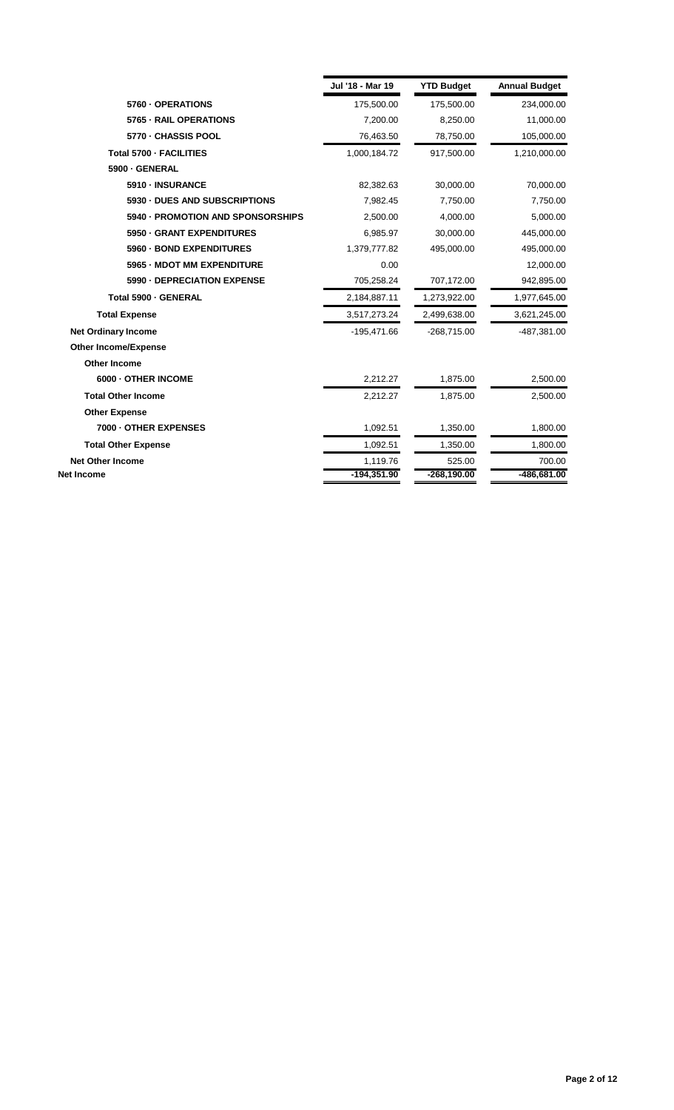|                                   | Jul '18 - Mar 19 | <b>YTD Budget</b> | <b>Annual Budget</b> |
|-----------------------------------|------------------|-------------------|----------------------|
| 5760 - OPERATIONS                 | 175,500.00       | 175,500.00        | 234,000.00           |
| 5765 - RAIL OPERATIONS            | 7,200.00         | 8,250.00          | 11,000.00            |
| 5770 - CHASSIS POOL               | 76,463.50        | 78,750.00         | 105,000.00           |
| Total 5700 - FACILITIES           | 1,000,184.72     | 917,500.00        | 1,210,000.00         |
| 5900 - GENERAL                    |                  |                   |                      |
| 5910 - INSURANCE                  | 82,382.63        | 30,000.00         | 70,000.00            |
| 5930 - DUES AND SUBSCRIPTIONS     | 7,982.45         | 7,750.00          | 7,750.00             |
| 5940 - PROMOTION AND SPONSORSHIPS | 2,500.00         | 4,000.00          | 5,000.00             |
| 5950 - GRANT EXPENDITURES         | 6,985.97         | 30,000.00         | 445,000.00           |
| 5960 - BOND EXPENDITURES          | 1,379,777.82     | 495,000.00        | 495,000.00           |
| 5965 - MDOT MM EXPENDITURE        | 0.00             |                   | 12,000.00            |
| 5990 - DEPRECIATION EXPENSE       | 705,258.24       | 707,172.00        | 942,895.00           |
| Total 5900 - GENERAL              | 2,184,887.11     | 1,273,922.00      | 1,977,645.00         |
| <b>Total Expense</b>              | 3,517,273.24     | 2,499,638.00      | 3,621,245.00         |
| <b>Net Ordinary Income</b>        | $-195,471.66$    | $-268,715.00$     | -487,381.00          |
| <b>Other Income/Expense</b>       |                  |                   |                      |
| <b>Other Income</b>               |                  |                   |                      |
| 6000 - OTHER INCOME               | 2,212.27         | 1,875.00          | 2,500.00             |
| <b>Total Other Income</b>         | 2,212.27         | 1,875.00          | 2,500.00             |
| <b>Other Expense</b>              |                  |                   |                      |
| 7000 - OTHER EXPENSES             | 1,092.51         | 1,350.00          | 1,800.00             |
| <b>Total Other Expense</b>        | 1,092.51         | 1,350.00          | 1,800.00             |
| <b>Net Other Income</b>           | 1,119.76         | 525.00            | 700.00               |
| Net Income                        | -194,351.90      | $-268,190.00$     | -486,681.00          |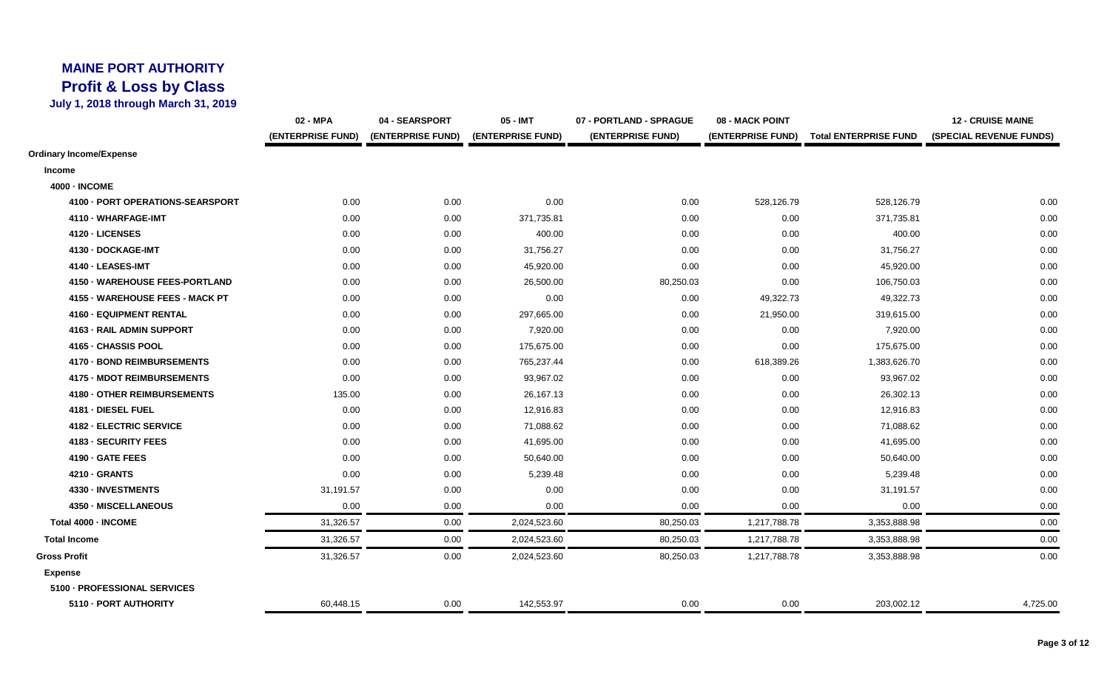## **MAINE PORT AUTHORITY Profit & Loss by Class**

**July 1, 2018 through March 31, 2019**

|                                  | 02 - MPA          | 04 - SEARSPORT    | 05 - IMT          | 07 - PORTLAND - SPRAGUE | 08 - MACK POINT   |                              | <b>12 - CRUISE MAINE</b> |
|----------------------------------|-------------------|-------------------|-------------------|-------------------------|-------------------|------------------------------|--------------------------|
|                                  | (ENTERPRISE FUND) | (ENTERPRISE FUND) | (ENTERPRISE FUND) | (ENTERPRISE FUND)       | (ENTERPRISE FUND) | <b>Total ENTERPRISE FUND</b> | (SPECIAL REVENUE FUNDS)  |
| Ordinary Income/Expense          |                   |                   |                   |                         |                   |                              |                          |
| Income                           |                   |                   |                   |                         |                   |                              |                          |
| <b>4000 - INCOME</b>             |                   |                   |                   |                         |                   |                              |                          |
| 4100 - PORT OPERATIONS-SEARSPORT | 0.00              | 0.00              | 0.00              | 0.00                    | 528,126.79        | 528,126.79                   | 0.00                     |
| 4110 - WHARFAGE-IMT              | 0.00              | 0.00              | 371,735.81        | 0.00                    | 0.00              | 371,735.81                   | 0.00                     |
| 4120 - LICENSES                  | 0.00              | 0.00              | 400.00            | 0.00                    | 0.00              | 400.00                       | 0.00                     |
| 4130 - DOCKAGE-IMT               | 0.00              | 0.00              | 31,756.27         | 0.00                    | 0.00              | 31,756.27                    | 0.00                     |
| 4140 - LEASES-IMT                | 0.00              | 0.00              | 45,920.00         | 0.00                    | 0.00              | 45,920.00                    | 0.00                     |
| 4150 - WAREHOUSE FEES-PORTLAND   | 0.00              | 0.00              | 26,500.00         | 80,250.03               | 0.00              | 106,750.03                   | 0.00                     |
| 4155 - WAREHOUSE FEES - MACK PT  | 0.00              | 0.00              | 0.00              | 0.00                    | 49,322.73         | 49,322.73                    | 0.00                     |
| 4160 - EQUIPMENT RENTAL          | 0.00              | 0.00              | 297,665.00        | 0.00                    | 21,950.00         | 319,615.00                   | 0.00                     |
| 4163 - RAIL ADMIN SUPPORT        | 0.00              | 0.00              | 7,920.00          | 0.00                    | 0.00              | 7,920.00                     | 0.00                     |
| 4165 - CHASSIS POOL              | 0.00              | 0.00              | 175,675.00        | 0.00                    | 0.00              | 175,675.00                   | 0.00                     |
| 4170 - BOND REIMBURSEMENTS       | 0.00              | 0.00              | 765,237.44        | 0.00                    | 618,389.26        | 1,383,626.70                 | 0.00                     |
| 4175 - MDOT REIMBURSEMENTS       | 0.00              | 0.00              | 93,967.02         | 0.00                    | 0.00              | 93,967.02                    | 0.00                     |
| 4180 - OTHER REIMBURSEMENTS      | 135.00            | 0.00              | 26,167.13         | 0.00                    | 0.00              | 26,302.13                    | 0.00                     |
| 4181 - DIESEL FUEL               | 0.00              | 0.00              | 12,916.83         | 0.00                    | 0.00              | 12,916.83                    | 0.00                     |
| 4182 - ELECTRIC SERVICE          | 0.00              | 0.00              | 71,088.62         | 0.00                    | 0.00              | 71,088.62                    | 0.00                     |
| 4183 - SECURITY FEES             | 0.00              | 0.00              | 41,695.00         | 0.00                    | 0.00              | 41,695.00                    | 0.00                     |
| 4190 - GATE FEES                 | 0.00              | 0.00              | 50,640.00         | 0.00                    | 0.00              | 50,640.00                    | 0.00                     |
| 4210 - GRANTS                    | 0.00              | 0.00              | 5,239.48          | 0.00                    | 0.00              | 5,239.48                     | 0.00                     |
| 4330 - INVESTMENTS               | 31,191.57         | 0.00              | 0.00              | 0.00                    | 0.00              | 31,191.57                    | 0.00                     |
| 4350 - MISCELLANEOUS             | 0.00              | 0.00              | 0.00              | 0.00                    | 0.00              | 0.00                         | 0.00                     |
| Total 4000 - INCOME              | 31,326.57         | 0.00              | 2,024,523.60      | 80,250.03               | 1,217,788.78      | 3,353,888.98                 | 0.00                     |
| <b>Total Income</b>              | 31,326.57         | 0.00              | 2,024,523.60      | 80,250.03               | 1,217,788.78      | 3,353,888.98                 | 0.00                     |
| <b>Gross Profit</b>              | 31,326.57         | 0.00              | 2,024,523.60      | 80,250.03               | 1,217,788.78      | 3,353,888.98                 | 0.00                     |
| <b>Expense</b>                   |                   |                   |                   |                         |                   |                              |                          |
| 5100 - PROFESSIONAL SERVICES     |                   |                   |                   |                         |                   |                              |                          |
| 5110 - PORT AUTHORITY            | 60,448.15         | 0.00              | 142,553.97        | 0.00                    | 0.00              | 203,002.12                   | 4,725.00                 |
|                                  |                   |                   |                   |                         |                   |                              |                          |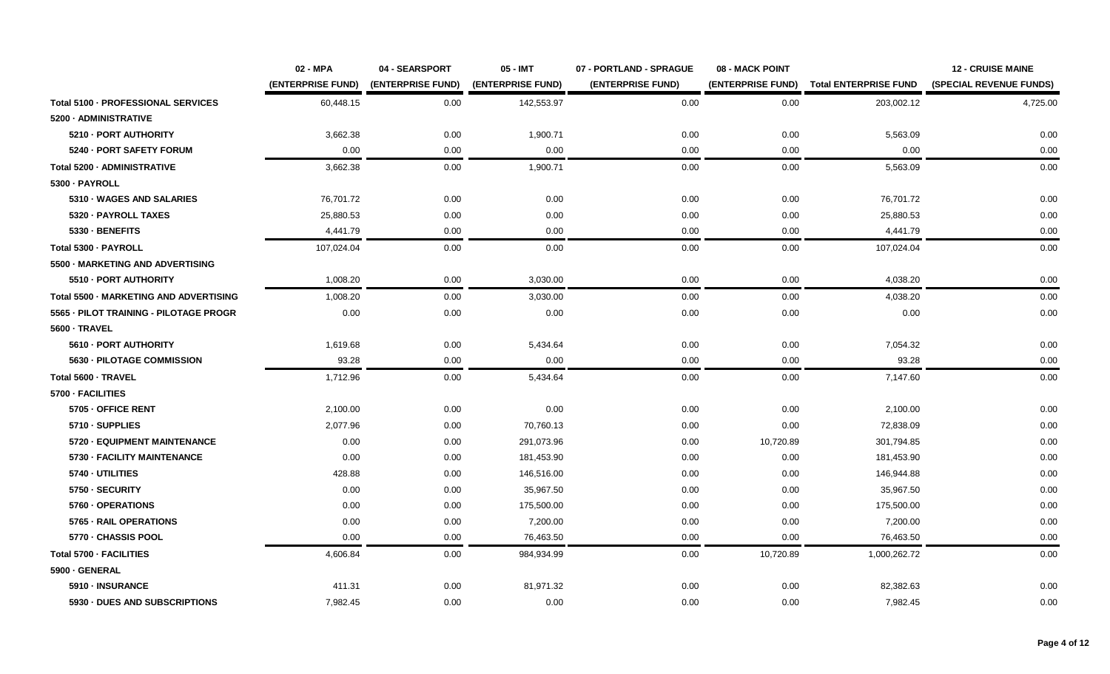|                                        | 02 - MPA          | 04 - SEARSPORT    | 05 - IMT          | 07 - PORTLAND - SPRAGUE | 08 - MACK POINT   |                              | <b>12 - CRUISE MAINE</b> |
|----------------------------------------|-------------------|-------------------|-------------------|-------------------------|-------------------|------------------------------|--------------------------|
|                                        | (ENTERPRISE FUND) | (ENTERPRISE FUND) | (ENTERPRISE FUND) | (ENTERPRISE FUND)       | (ENTERPRISE FUND) | <b>Total ENTERPRISE FUND</b> | (SPECIAL REVENUE FUNDS)  |
| Total 5100 - PROFESSIONAL SERVICES     | 60,448.15         | 0.00              | 142,553.97        | 0.00                    | 0.00              | 203,002.12                   | 4,725.00                 |
| 5200 - ADMINISTRATIVE                  |                   |                   |                   |                         |                   |                              |                          |
| 5210 - PORT AUTHORITY                  | 3,662.38          | 0.00              | 1,900.71          | 0.00                    | 0.00              | 5,563.09                     | 0.00                     |
| 5240 - PORT SAFETY FORUM               | 0.00              | 0.00              | 0.00              | 0.00                    | 0.00              | 0.00                         | 0.00                     |
| Total 5200 - ADMINISTRATIVE            | 3,662.38          | 0.00              | 1,900.71          | 0.00                    | 0.00              | 5,563.09                     | 0.00                     |
| 5300 - PAYROLL                         |                   |                   |                   |                         |                   |                              |                          |
| 5310 - WAGES AND SALARIES              | 76,701.72         | 0.00              | 0.00              | 0.00                    | 0.00              | 76,701.72                    | 0.00                     |
| 5320 - PAYROLL TAXES                   | 25,880.53         | 0.00              | 0.00              | 0.00                    | 0.00              | 25,880.53                    | 0.00                     |
| 5330 - BENEFITS                        | 4,441.79          | 0.00              | 0.00              | 0.00                    | 0.00              | 4,441.79                     | 0.00                     |
| Total 5300 - PAYROLL                   | 107,024.04        | 0.00              | 0.00              | 0.00                    | 0.00              | 107,024.04                   | 0.00                     |
| 5500 - MARKETING AND ADVERTISING       |                   |                   |                   |                         |                   |                              |                          |
| 5510 - PORT AUTHORITY                  | 1,008.20          | 0.00              | 3,030.00          | 0.00                    | 0.00              | 4,038.20                     | 0.00                     |
| Total 5500 - MARKETING AND ADVERTISING | 1,008.20          | 0.00              | 3,030.00          | 0.00                    | 0.00              | 4,038.20                     | 0.00                     |
| 5565 - PILOT TRAINING - PILOTAGE PROGR | 0.00              | 0.00              | 0.00              | 0.00                    | 0.00              | 0.00                         | 0.00                     |
| 5600 - TRAVEL                          |                   |                   |                   |                         |                   |                              |                          |
| 5610 - PORT AUTHORITY                  | 1,619.68          | 0.00              | 5,434.64          | 0.00                    | 0.00              | 7,054.32                     | 0.00                     |
| 5630 - PILOTAGE COMMISSION             | 93.28             | 0.00              | 0.00              | 0.00                    | 0.00              | 93.28                        | 0.00                     |
| Total 5600 - TRAVEL                    | 1,712.96          | 0.00              | 5,434.64          | 0.00                    | 0.00              | 7,147.60                     | 0.00                     |
| 5700 - FACILITIES                      |                   |                   |                   |                         |                   |                              |                          |
| 5705 - OFFICE RENT                     | 2,100.00          | 0.00              | 0.00              | 0.00                    | 0.00              | 2,100.00                     | 0.00                     |
| 5710 - SUPPLIES                        | 2.077.96          | 0.00              | 70,760.13         | 0.00                    | 0.00              | 72.838.09                    | 0.00                     |
| 5720 - EQUIPMENT MAINTENANCE           | 0.00              | 0.00              | 291,073.96        | 0.00                    | 10,720.89         | 301,794.85                   | 0.00                     |
| 5730 - FACILITY MAINTENANCE            | 0.00              | 0.00              | 181,453.90        | 0.00                    | 0.00              | 181,453.90                   | 0.00                     |
| 5740 - UTILITIES                       | 428.88            | 0.00              | 146,516.00        | 0.00                    | 0.00              | 146,944.88                   | 0.00                     |
| 5750 - SECURITY                        | 0.00              | 0.00              | 35,967.50         | 0.00                    | 0.00              | 35,967.50                    | 0.00                     |
| 5760 - OPERATIONS                      | 0.00              | 0.00              | 175,500.00        | 0.00                    | 0.00              | 175,500.00                   | 0.00                     |
| 5765 - RAIL OPERATIONS                 | 0.00              | 0.00              | 7,200.00          | 0.00                    | 0.00              | 7,200.00                     | 0.00                     |
| 5770 - CHASSIS POOL                    | 0.00              | 0.00              | 76,463.50         | 0.00                    | 0.00              | 76,463.50                    | 0.00                     |
| Total 5700 - FACILITIES                | 4,606.84          | 0.00              | 984,934.99        | 0.00                    | 10,720.89         | 1,000,262.72                 | 0.00                     |
| 5900 - GENERAL                         |                   |                   |                   |                         |                   |                              |                          |
| 5910 - INSURANCE                       | 411.31            | 0.00              | 81,971.32         | 0.00                    | 0.00              | 82,382.63                    | 0.00                     |
| 5930 - DUES AND SUBSCRIPTIONS          | 7,982.45          | 0.00              | 0.00              | 0.00                    | 0.00              | 7,982.45                     | 0.00                     |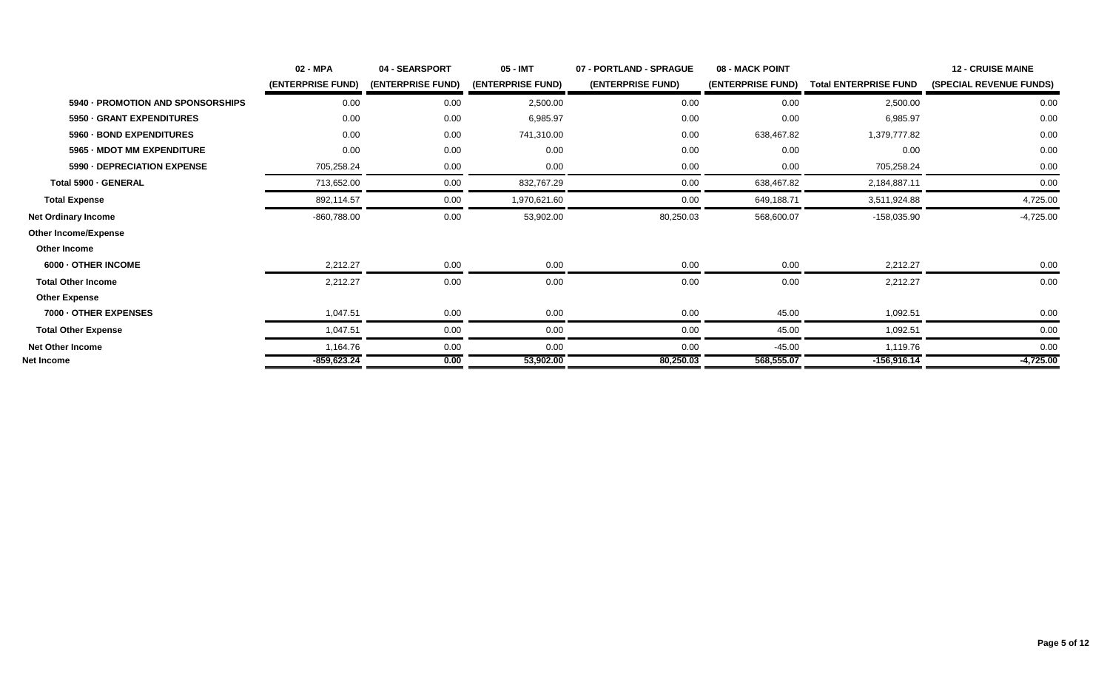|                                   | 02 - MPA          | 04 - SEARSPORT           | 05 - IMT          | 07 - PORTLAND - SPRAGUE | 08 - MACK POINT   |                              | <b>12 - CRUISE MAINE</b>       |
|-----------------------------------|-------------------|--------------------------|-------------------|-------------------------|-------------------|------------------------------|--------------------------------|
|                                   | (ENTERPRISE FUND) | <b>(ENTERPRISE FUND)</b> | (ENTERPRISE FUND) | (ENTERPRISE FUND)       | (ENTERPRISE FUND) | <b>Total ENTERPRISE FUND</b> | <b>(SPECIAL REVENUE FUNDS)</b> |
| 5940 - PROMOTION AND SPONSORSHIPS | 0.00              | 0.00                     | 2,500.00          | 0.00                    | 0.00              | 2,500.00                     | 0.00                           |
| 5950 - GRANT EXPENDITURES         | 0.00              | 0.00                     | 6,985.97          | 0.00                    | 0.00              | 6,985.97                     | 0.00                           |
| 5960 - BOND EXPENDITURES          | 0.00              | 0.00                     | 741,310.00        | 0.00                    | 638,467.82        | 1,379,777.82                 | 0.00                           |
| 5965 - MDOT MM EXPENDITURE        | 0.00              | 0.00                     | 0.00              | 0.00                    | 0.00              | 0.00                         | 0.00                           |
| 5990 - DEPRECIATION EXPENSE       | 705,258.24        | 0.00                     | 0.00              | 0.00                    | 0.00              | 705,258.24                   | 0.00                           |
| Total 5900 - GENERAL              | 713,652.00        | 0.00                     | 832,767.29        | 0.00                    | 638,467.82        | 2,184,887.11                 | 0.00                           |
| <b>Total Expense</b>              | 892,114.57        | 0.00                     | 1,970,621.60      | 0.00                    | 649,188.71        | 3,511,924.88                 | 4,725.00                       |
| <b>Net Ordinary Income</b>        | -860,788.00       | 0.00                     | 53,902.00         | 80,250.03               | 568,600.07        | $-158,035.90$                | $-4,725.00$                    |
| <b>Other Income/Expense</b>       |                   |                          |                   |                         |                   |                              |                                |
| Other Income                      |                   |                          |                   |                         |                   |                              |                                |
| 6000 - OTHER INCOME               | 2,212.27          | 0.00                     | 0.00              | 0.00                    | 0.00              | 2,212.27                     | 0.00                           |
| <b>Total Other Income</b>         | 2,212.27          | 0.00                     | 0.00              | 0.00                    | 0.00              | 2,212.27                     | 0.00                           |
| <b>Other Expense</b>              |                   |                          |                   |                         |                   |                              |                                |
| 7000 - OTHER EXPENSES             | 1,047.51          | 0.00                     | 0.00              | 0.00                    | 45.00             | 1,092.51                     | 0.00                           |
| <b>Total Other Expense</b>        | 1,047.51          | 0.00                     | 0.00              | 0.00                    | 45.00             | 1,092.51                     | 0.00                           |
| <b>Net Other Income</b>           | 1,164.76          | 0.00                     | 0.00              | 0.00                    | -45.00            | 1,119.76                     | 0.00                           |
| Net Income                        | $-859,623.24$     | 0.00                     | 53,902.00         | 80,250.03               | 568,555.07        | $-156,916.14$                | $-4,725.00$                    |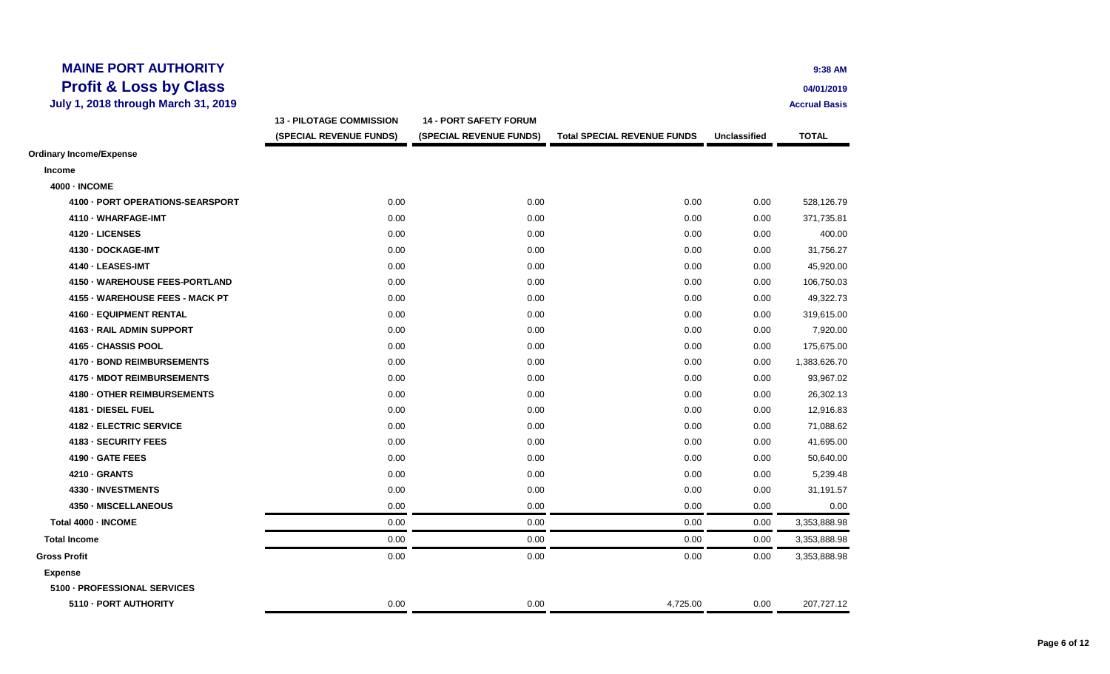| <b>MAINE PORT AUTHORITY</b>                |                                 |                               |                                    |                     | 9:38 AM              |
|--------------------------------------------|---------------------------------|-------------------------------|------------------------------------|---------------------|----------------------|
| <b>Profit &amp; Loss by Class</b>          |                                 |                               |                                    |                     | 04/01/2019           |
| <b>July 1, 2018 through March 31, 2019</b> |                                 |                               |                                    |                     | <b>Accrual Basis</b> |
|                                            | <b>13 - PILOTAGE COMMISSION</b> | <b>14 - PORT SAFETY FORUM</b> |                                    |                     |                      |
|                                            | (SPECIAL REVENUE FUNDS)         | (SPECIAL REVENUE FUNDS)       | <b>Total SPECIAL REVENUE FUNDS</b> | <b>Unclassified</b> | <b>TOTAL</b>         |
| <b>Ordinary Income/Expense</b>             |                                 |                               |                                    |                     |                      |
| <b>Income</b>                              |                                 |                               |                                    |                     |                      |
| <b>4000 - INCOME</b>                       |                                 |                               |                                    |                     |                      |
| 4100 - PORT OPERATIONS-SEARSPORT           | 0.00                            | 0.00                          | 0.00                               | 0.00                | 528,126.79           |
| 4110 - WHARFAGE-IMT                        | 0.00                            | 0.00                          | 0.00                               | 0.00                | 371,735.81           |
| 4120 - LICENSES                            | 0.00                            | 0.00                          | 0.00                               | 0.00                | 400.00               |
| 4130 - DOCKAGE-IMT                         | 0.00                            | 0.00                          | 0.00                               | 0.00                | 31,756.27            |
| 4140 - LEASES-IMT                          | 0.00                            | 0.00                          | 0.00                               | 0.00                | 45,920.00            |
| 4150 - WAREHOUSE FEES-PORTLAND             | 0.00                            | 0.00                          | 0.00                               | 0.00                | 106,750.03           |
| 4155 - WAREHOUSE FEES - MACK PT            | 0.00                            | 0.00                          | 0.00                               | 0.00                | 49,322.73            |
| 4160 - EQUIPMENT RENTAL                    | 0.00                            | 0.00                          | 0.00                               | 0.00                | 319,615.00           |
| 4163 - RAIL ADMIN SUPPORT                  | 0.00                            | 0.00                          | 0.00                               | 0.00                | 7,920.00             |
| 4165 - CHASSIS POOL                        | 0.00                            | 0.00                          | 0.00                               | 0.00                | 175,675.00           |
| 4170 - BOND REIMBURSEMENTS                 | 0.00                            | 0.00                          | 0.00                               | 0.00                | 1,383,626.70         |
| 4175 - MDOT REIMBURSEMENTS                 | 0.00                            | 0.00                          | 0.00                               | 0.00                | 93,967.02            |
| 4180 - OTHER REIMBURSEMENTS                | 0.00                            | 0.00                          | 0.00                               | 0.00                | 26,302.13            |
| 4181 - DIESEL FUEL                         | 0.00                            | 0.00                          | 0.00                               | 0.00                | 12,916.83            |
| 4182 - ELECTRIC SERVICE                    | 0.00                            | 0.00                          | 0.00                               | 0.00                | 71,088.62            |
| 4183 - SECURITY FEES                       | 0.00                            | 0.00                          | 0.00                               | 0.00                | 41,695.00            |
| 4190 - GATE FEES                           | 0.00                            | 0.00                          | 0.00                               | 0.00                | 50,640.00            |
| 4210 - GRANTS                              | 0.00                            | 0.00                          | 0.00                               | 0.00                | 5,239.48             |
| 4330 - INVESTMENTS                         | 0.00                            | 0.00                          | 0.00                               | 0.00                | 31,191.57            |
| 4350 - MISCELLANEOUS                       | 0.00                            | 0.00                          | 0.00                               | 0.00                | 0.00                 |
| Total 4000 - INCOME                        | 0.00                            | 0.00                          | 0.00                               | 0.00                | 3,353,888.98         |
| <b>Total Income</b>                        | 0.00                            | 0.00                          | 0.00                               | 0.00                | 3,353,888.98         |
| <b>Gross Profit</b>                        | 0.00                            | 0.00                          | 0.00                               | 0.00                | 3,353,888.98         |
| <b>Expense</b>                             |                                 |                               |                                    |                     |                      |
| 5100 - PROFESSIONAL SERVICES               |                                 |                               |                                    |                     |                      |
| 5110 - PORT AUTHORITY                      | 0.00                            | 0.00                          | 4,725.00                           | 0.00                | 207,727.12           |
|                                            |                                 |                               |                                    |                     |                      |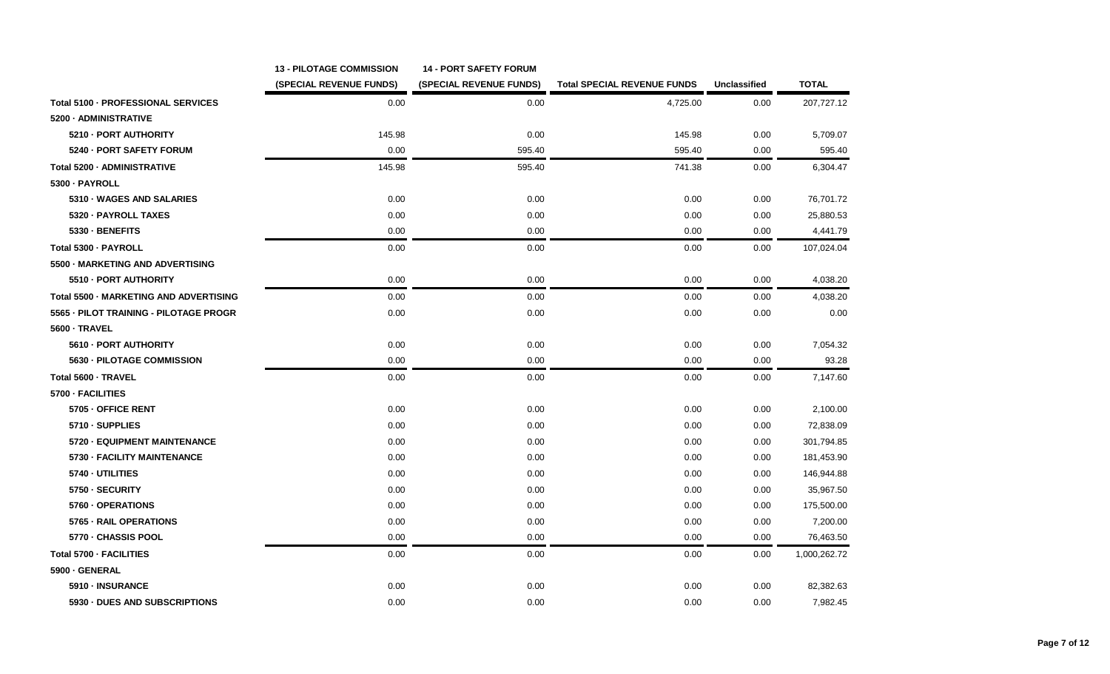|                                        | <b>13 - PILOTAGE COMMISSION</b> | <b>14 - PORT SAFETY FORUM</b> |                                    |                     |              |
|----------------------------------------|---------------------------------|-------------------------------|------------------------------------|---------------------|--------------|
|                                        | (SPECIAL REVENUE FUNDS)         | (SPECIAL REVENUE FUNDS)       | <b>Total SPECIAL REVENUE FUNDS</b> | <b>Unclassified</b> | <b>TOTAL</b> |
| Total 5100 - PROFESSIONAL SERVICES     | 0.00                            | 0.00                          | 4,725.00                           | 0.00                | 207,727.12   |
| 5200 - ADMINISTRATIVE                  |                                 |                               |                                    |                     |              |
| 5210 - PORT AUTHORITY                  | 145.98                          | 0.00                          | 145.98                             | 0.00                | 5,709.07     |
| 5240 - PORT SAFETY FORUM               | 0.00                            | 595.40                        | 595.40                             | 0.00                | 595.40       |
| Total 5200 - ADMINISTRATIVE            | 145.98                          | 595.40                        | 741.38                             | 0.00                | 6,304.47     |
| 5300 · PAYROLL                         |                                 |                               |                                    |                     |              |
| 5310 WAGES AND SALARIES                | 0.00                            | 0.00                          | 0.00                               | 0.00                | 76,701.72    |
| 5320 - PAYROLL TAXES                   | 0.00                            | 0.00                          | 0.00                               | 0.00                | 25,880.53    |
| 5330 - BENEFITS                        | 0.00                            | 0.00                          | 0.00                               | 0.00                | 4,441.79     |
| Total 5300 - PAYROLL                   | 0.00                            | 0.00                          | 0.00                               | 0.00                | 107,024.04   |
| 5500 - MARKETING AND ADVERTISING       |                                 |                               |                                    |                     |              |
| 5510 - PORT AUTHORITY                  | 0.00                            | 0.00                          | 0.00                               | 0.00                | 4,038.20     |
| Total 5500 - MARKETING AND ADVERTISING | 0.00                            | 0.00                          | 0.00                               | 0.00                | 4,038.20     |
| 5565 - PILOT TRAINING - PILOTAGE PROGR | 0.00                            | 0.00                          | 0.00                               | 0.00                | 0.00         |
| <b>5600 - TRAVEL</b>                   |                                 |                               |                                    |                     |              |
| 5610 - PORT AUTHORITY                  | 0.00                            | 0.00                          | 0.00                               | 0.00                | 7,054.32     |
| 5630 - PILOTAGE COMMISSION             | 0.00                            | 0.00                          | 0.00                               | 0.00                | 93.28        |
| Total 5600 - TRAVEL                    | 0.00                            | 0.00                          | 0.00                               | 0.00                | 7,147.60     |
| 5700 - FACILITIES                      |                                 |                               |                                    |                     |              |
| 5705 - OFFICE RENT                     | 0.00                            | 0.00                          | 0.00                               | 0.00                | 2,100.00     |
| 5710 - SUPPLIES                        | 0.00                            | 0.00                          | 0.00                               | 0.00                | 72,838.09    |
| 5720 - EQUIPMENT MAINTENANCE           | 0.00                            | 0.00                          | 0.00                               | 0.00                | 301,794.85   |
| 5730 - FACILITY MAINTENANCE            | 0.00                            | 0.00                          | 0.00                               | 0.00                | 181,453.90   |
| 5740 - UTILITIES                       | 0.00                            | 0.00                          | 0.00                               | 0.00                | 146,944.88   |
| 5750 - SECURITY                        | 0.00                            | 0.00                          | 0.00                               | 0.00                | 35,967.50    |
| 5760 - OPERATIONS                      | 0.00                            | 0.00                          | 0.00                               | 0.00                | 175,500.00   |
| 5765 - RAIL OPERATIONS                 | 0.00                            | 0.00                          | 0.00                               | 0.00                | 7,200.00     |
| 5770 - CHASSIS POOL                    | 0.00                            | 0.00                          | 0.00                               | 0.00                | 76,463.50    |
| Total 5700 - FACILITIES                | 0.00                            | 0.00                          | 0.00                               | 0.00                | 1,000,262.72 |
| 5900 - GENERAL                         |                                 |                               |                                    |                     |              |
| 5910 - INSURANCE                       | 0.00                            | 0.00                          | 0.00                               | 0.00                | 82,382.63    |
| 5930 - DUES AND SUBSCRIPTIONS          | 0.00                            | 0.00                          | 0.00                               | 0.00                | 7,982.45     |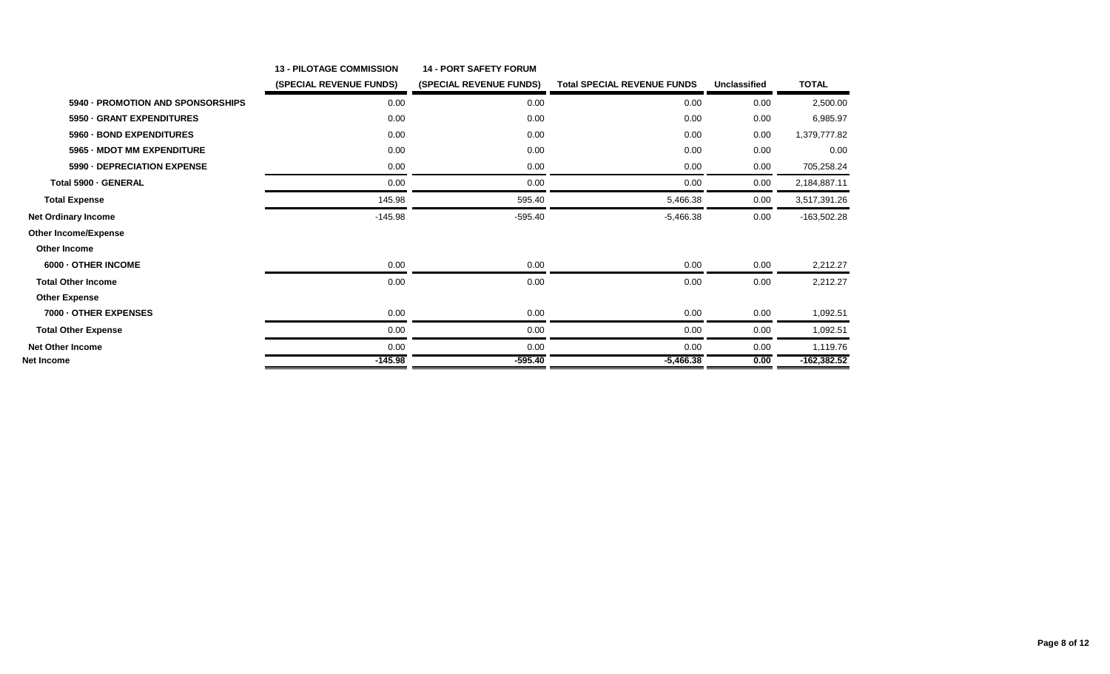|                                   | <b>13 - PILOTAGE COMMISSION</b> | <b>14 - PORT SAFETY FORUM</b> |                                    |              |               |
|-----------------------------------|---------------------------------|-------------------------------|------------------------------------|--------------|---------------|
|                                   | (SPECIAL REVENUE FUNDS)         | (SPECIAL REVENUE FUNDS)       | <b>Total SPECIAL REVENUE FUNDS</b> | Unclassified | <b>TOTAL</b>  |
| 5940 - PROMOTION AND SPONSORSHIPS | 0.00                            | 0.00                          | 0.00                               | 0.00         | 2,500.00      |
| 5950 - GRANT EXPENDITURES         | 0.00                            | 0.00                          | 0.00                               | 0.00         | 6,985.97      |
| 5960 - BOND EXPENDITURES          | 0.00                            | 0.00                          | 0.00                               | 0.00         | 1,379,777.82  |
| 5965 - MDOT MM EXPENDITURE        | 0.00                            | 0.00                          | 0.00                               | 0.00         | 0.00          |
| 5990 - DEPRECIATION EXPENSE       | 0.00                            | 0.00                          | 0.00                               | 0.00         | 705,258.24    |
| Total 5900 - GENERAL              | 0.00                            | 0.00                          | 0.00                               | 0.00         | 2,184,887.11  |
| <b>Total Expense</b>              | 145.98                          | 595.40                        | 5,466.38                           | 0.00         | 3,517,391.26  |
| <b>Net Ordinary Income</b>        | $-145.98$                       | $-595.40$                     | $-5,466.38$                        | 0.00         | $-163,502.28$ |
| <b>Other Income/Expense</b>       |                                 |                               |                                    |              |               |
| <b>Other Income</b>               |                                 |                               |                                    |              |               |
| 6000 - OTHER INCOME               | 0.00                            | 0.00                          | 0.00                               | 0.00         | 2,212.27      |
| <b>Total Other Income</b>         | 0.00                            | 0.00                          | 0.00                               | 0.00         | 2,212.27      |
| <b>Other Expense</b>              |                                 |                               |                                    |              |               |
| 7000 - OTHER EXPENSES             | 0.00                            | 0.00                          | 0.00                               | 0.00         | 1,092.51      |
| <b>Total Other Expense</b>        | 0.00                            | 0.00                          | 0.00                               | 0.00         | 1,092.51      |
| <b>Net Other Income</b>           | 0.00                            | 0.00                          | 0.00                               | 0.00         | 1,119.76      |
| <b>Net Income</b>                 | $-145.98$                       | $-595.40$                     | $-5,466.38$                        | 0.00         | $-162,382.52$ |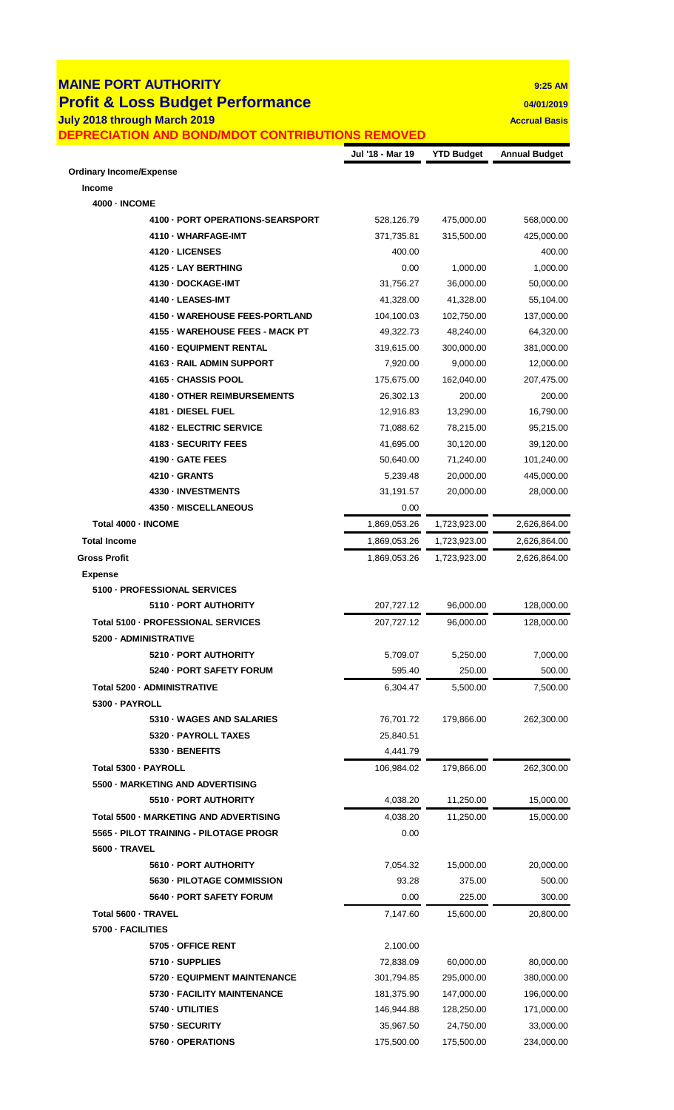|                                       | <b>Profit &amp; Loss Budget Performance</b>      |                   |                     | 04/01/2019                                                                                                                                                                                              |
|---------------------------------------|--------------------------------------------------|-------------------|---------------------|---------------------------------------------------------------------------------------------------------------------------------------------------------------------------------------------------------|
| July 2018 through March 2019          |                                                  |                   |                     | <b>Accrual Basis</b>                                                                                                                                                                                    |
|                                       | DEPRECIATION AND BOND/MDOT CONTRIBUTIONS REMOVED |                   |                     |                                                                                                                                                                                                         |
| <b>Ordinary Income/Expense</b>        |                                                  | Jul '18 - Mar 19  | <b>YTD Budget</b>   | <b>Annual Budget</b>                                                                                                                                                                                    |
| <b>Income</b>                         |                                                  |                   |                     |                                                                                                                                                                                                         |
| <b>4000 - INCOME</b>                  |                                                  |                   |                     |                                                                                                                                                                                                         |
|                                       | 4100 - PORT OPERATIONS-SEARSPORT                 | 528,126.79        | 475,000.00          | 568,000.00                                                                                                                                                                                              |
|                                       | 4110 - WHARFAGE-IMT                              | 371,735.81        | 315,500.00          | 425,000.00                                                                                                                                                                                              |
|                                       | 4120 - LICENSES                                  | 400.00            |                     | 400.00                                                                                                                                                                                                  |
|                                       | 4125 - LAY BERTHING                              | 0.00              | 1,000.00            | 1,000.00                                                                                                                                                                                                |
|                                       | 4130 - DOCKAGE-IMT                               | 31,756.27         | 36,000.00           | 50,000.00                                                                                                                                                                                               |
|                                       | 4140 - LEASES-IMT                                | 41,328.00         | 41,328.00           | 55,104.00                                                                                                                                                                                               |
|                                       | 4150 - WAREHOUSE FEES-PORTLAND                   | 104,100.03        | 102,750.00          | 137,000.00                                                                                                                                                                                              |
|                                       | 4155 - WAREHOUSE FEES - MACK PT                  | 49,322.73         | 48,240.00           | 64,320.00                                                                                                                                                                                               |
|                                       | 4160 - EQUIPMENT RENTAL                          | 319,615.00        | 300,000.00          | 381,000.00                                                                                                                                                                                              |
|                                       | 4163 - RAIL ADMIN SUPPORT                        | 7,920.00          | 9,000.00            | 12,000.00                                                                                                                                                                                               |
|                                       | 4165 - CHASSIS POOL                              | 175,675.00        | 162,040.00          | 207,475.00                                                                                                                                                                                              |
|                                       | 4180 - OTHER REIMBURSEMENTS                      | 26,302.13         | 200.00              | 200.00                                                                                                                                                                                                  |
|                                       | 4181 - DIESEL FUEL                               | 12,916.83         | 13,290.00           | 16,790.00                                                                                                                                                                                               |
|                                       | 4182 - ELECTRIC SERVICE                          | 71,088.62         | 78,215.00           | 95,215.00                                                                                                                                                                                               |
|                                       | <b>4183 - SECURITY FEES</b>                      | 41,695.00         | 30,120.00           | 39,120.00                                                                                                                                                                                               |
|                                       | 4190 - GATE FEES                                 | 50,640.00         | 71,240.00           | 101,240.00                                                                                                                                                                                              |
|                                       | 4210 - GRANTS                                    | 5,239.48          | 20,000.00           | 445,000.00                                                                                                                                                                                              |
|                                       | 4330 - INVESTMENTS                               | 31,191.57         | 20,000.00           | 28,000.00                                                                                                                                                                                               |
|                                       | 4350 - MISCELLANEOUS                             | 0.00              |                     |                                                                                                                                                                                                         |
| Total 4000 - INCOME                   |                                                  | 1,869,053.26      | 1,723,923.00        | 2,626,864.00                                                                                                                                                                                            |
| <b>Total Income</b>                   |                                                  | 1,869,053.26      | 1,723,923.00        | 2,626,864.00                                                                                                                                                                                            |
| <b>Gross Profit</b><br><b>Expense</b> | 5100 - PROFESSIONAL SERVICES                     | 1.869.053.26      | 1,723,923.00        | 2.626.864.00                                                                                                                                                                                            |
|                                       | 5110 - PORT AUTHORITY                            | 207,727.12        | 96,000.00           | 128,000.00                                                                                                                                                                                              |
|                                       | Total 5100 - PROFESSIONAL SERVICES               | 207,727.12        | 96,000.00           |                                                                                                                                                                                                         |
| 5200 - ADMINISTRATIVE                 |                                                  |                   |                     |                                                                                                                                                                                                         |
|                                       | 5210 - PORT AUTHORITY                            | 5,709.07          | 5,250.00            |                                                                                                                                                                                                         |
|                                       | 5240 - PORT SAFETY FORUM                         | 595.40            | 250.00              |                                                                                                                                                                                                         |
| Total 5200 - ADMINISTRATIVE           |                                                  | 6,304.47          | 5,500.00            |                                                                                                                                                                                                         |
| 5300 - PAYROLL                        |                                                  |                   |                     |                                                                                                                                                                                                         |
|                                       | 5310 - WAGES AND SALARIES                        | 76,701.72         | 179,866.00          |                                                                                                                                                                                                         |
|                                       | 5320 - PAYROLL TAXES                             | 25,840.51         |                     |                                                                                                                                                                                                         |
|                                       | 5330 - BENEFITS                                  | 4,441.79          |                     |                                                                                                                                                                                                         |
| Total 5300 - PAYROLL                  |                                                  | 106,984.02        | 179,866.00          |                                                                                                                                                                                                         |
|                                       | 5500 - MARKETING AND ADVERTISING                 |                   |                     |                                                                                                                                                                                                         |
|                                       | 5510 - PORT AUTHORITY                            | 4,038.20          | 11,250.00           |                                                                                                                                                                                                         |
|                                       | Total 5500 - MARKETING AND ADVERTISING           | 4,038.20          | 11,250.00           |                                                                                                                                                                                                         |
|                                       | 5565 - PILOT TRAINING - PILOTAGE PROGR           | 0.00              |                     |                                                                                                                                                                                                         |
| 5600 - TRAVEL                         | 5610 - PORT AUTHORITY                            |                   |                     |                                                                                                                                                                                                         |
|                                       | 5630 - PILOTAGE COMMISSION                       | 7,054.32<br>93.28 | 15,000.00<br>375.00 |                                                                                                                                                                                                         |
|                                       | 5640 - PORT SAFETY FORUM                         | 0.00              | 225.00              |                                                                                                                                                                                                         |
| Total 5600 - TRAVEL                   |                                                  | 7,147.60          | 15,600.00           |                                                                                                                                                                                                         |
| 5700 - FACILITIES                     |                                                  |                   |                     |                                                                                                                                                                                                         |
|                                       | 5705 - OFFICE RENT                               | 2,100.00          |                     |                                                                                                                                                                                                         |
|                                       | 5710 - SUPPLIES                                  | 72,838.09         | 60,000.00           |                                                                                                                                                                                                         |
|                                       | 5720 - EQUIPMENT MAINTENANCE                     | 301,794.85        | 295,000.00          |                                                                                                                                                                                                         |
|                                       | 5730 - FACILITY MAINTENANCE                      | 181,375.90        | 147,000.00          |                                                                                                                                                                                                         |
|                                       | 5740 - UTILITIES                                 | 146,944.88        | 128,250.00          | 128,000.00<br>7,000.00<br>500.00<br>7,500.00<br>262,300.00<br>262,300.00<br>15,000.00<br>15,000.00<br>20,000.00<br>500.00<br>300.00<br>20,800.00<br>80,000.00<br>380,000.00<br>196,000.00<br>171,000.00 |
|                                       | 5750 - SECURITY                                  | 35,967.50         | 24,750.00           | 33,000.00                                                                                                                                                                                               |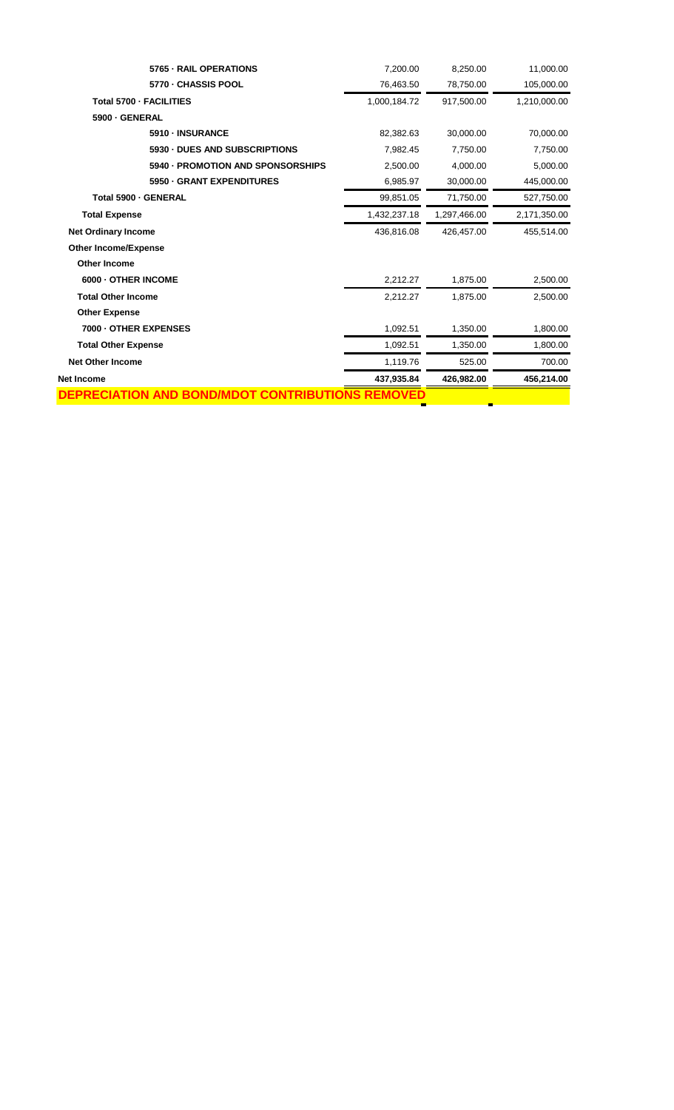| DEPRECIATION AND BOND/MDOT CONTRIBUTI | <b>NS REMOVED</b> |              |              |
|---------------------------------------|-------------------|--------------|--------------|
| Net Income                            | 437,935.84        | 426,982.00   | 456,214.00   |
| <b>Net Other Income</b>               | 1,119.76          | 525.00       | 700.00       |
| <b>Total Other Expense</b>            | 1,092.51          | 1,350.00     | 1,800.00     |
| 7000 - OTHER EXPENSES                 | 1,092.51          | 1,350.00     | 1,800.00     |
| <b>Other Expense</b>                  |                   |              |              |
| <b>Total Other Income</b>             | 2,212.27          | 1,875.00     | 2,500.00     |
| 6000 - OTHER INCOME                   | 2,212.27          | 1,875.00     | 2,500.00     |
| <b>Other Income</b>                   |                   |              |              |
| <b>Other Income/Expense</b>           |                   |              |              |
| <b>Net Ordinary Income</b>            | 436,816.08        | 426,457.00   | 455,514.00   |
| <b>Total Expense</b>                  | 1,432,237.18      | 1,297,466.00 | 2,171,350.00 |
| Total 5900 - GENERAL                  | 99,851.05         | 71,750.00    | 527,750.00   |
| 5950 - GRANT EXPENDITURES             | 6,985.97          | 30,000.00    | 445,000.00   |
| 5940 - PROMOTION AND SPONSORSHIPS     | 2,500.00          | 4,000.00     | 5,000.00     |
| 5930 - DUES AND SUBSCRIPTIONS         | 7,982.45          | 7,750.00     | 7,750.00     |
| 5910 - INSURANCE                      | 82,382.63         | 30,000.00    | 70,000.00    |
| 5900 - GENERAL                        |                   |              |              |
| Total 5700 - FACILITIES               | 1,000,184.72      | 917,500.00   | 1,210,000.00 |
| 5770 - CHASSIS POOL                   | 76,463.50         | 78,750.00    | 105,000.00   |
| 5765 - RAIL OPERATIONS                | 7,200.00          | 8,250.00     | 11,000.00    |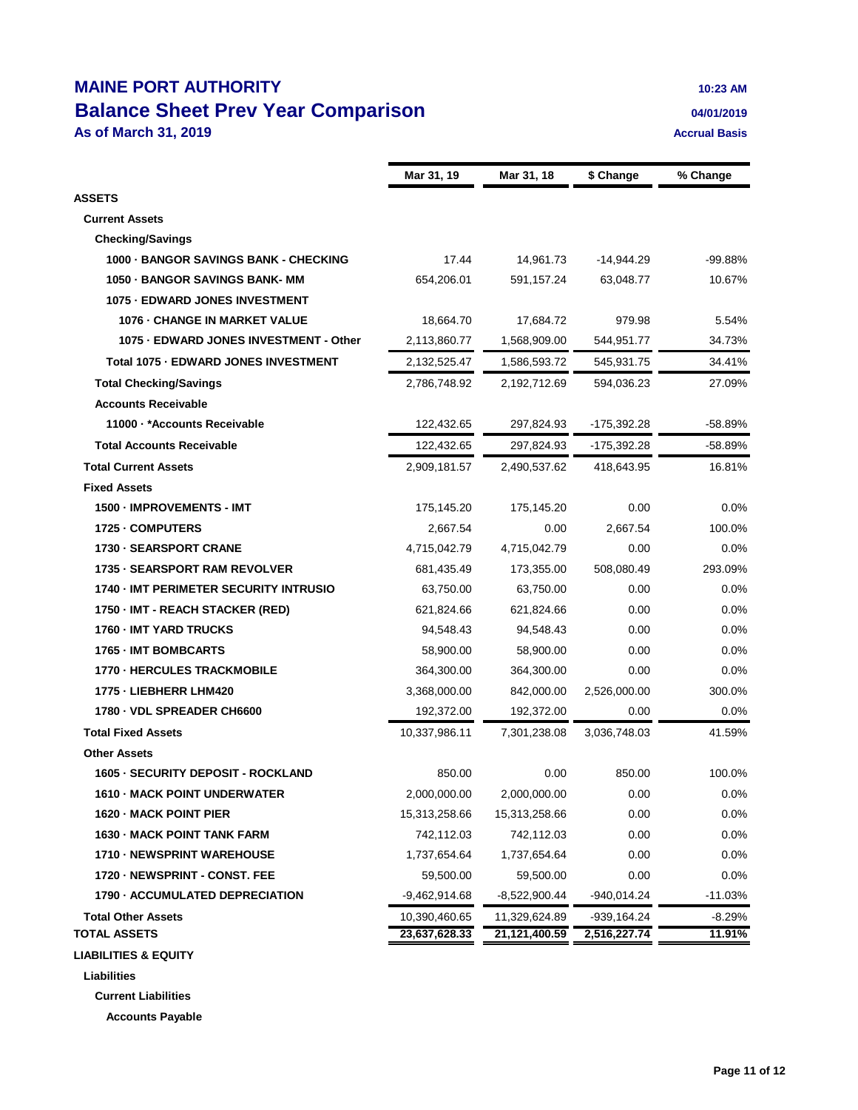## **MAINE PORT AUTHORITY 10:23 AM Balance Sheet Prev Year Comparison 1989 1989 1989 1989 1989 1989 1989 1989 1999 1999 1999 1999 1999 1999 1999 1999 1999 1999 1999 1999 1999 1999 1999 1999 1999 1999 19 As of March 31, 2019 Accrual Basis**

|                                                  | Mar 31, 19      | Mar 31, 18      | \$ Change     | % Change           |
|--------------------------------------------------|-----------------|-----------------|---------------|--------------------|
| <b>ASSETS</b>                                    |                 |                 |               |                    |
| <b>Current Assets</b>                            |                 |                 |               |                    |
| <b>Checking/Savings</b>                          |                 |                 |               |                    |
| 1000 - BANGOR SAVINGS BANK - CHECKING            | 17.44           | 14,961.73       | -14,944.29    | -99.88%            |
| 1050 - BANGOR SAVINGS BANK- MM                   | 654,206.01      | 591,157.24      | 63,048.77     | 10.67%             |
| 1075 - EDWARD JONES INVESTMENT                   |                 |                 |               |                    |
| 1076 - CHANGE IN MARKET VALUE                    | 18,664.70       | 17,684.72       | 979.98        | 5.54%              |
| 1075 - EDWARD JONES INVESTMENT - Other           | 2,113,860.77    | 1,568,909.00    | 544,951.77    | 34.73%             |
| Total 1075 - EDWARD JONES INVESTMENT             | 2,132,525.47    | 1,586,593.72    | 545,931.75    | 34.41%             |
| <b>Total Checking/Savings</b>                    | 2,786,748.92    | 2,192,712.69    | 594,036.23    | 27.09%             |
| <b>Accounts Receivable</b>                       |                 |                 |               |                    |
| 11000 · * Accounts Receivable                    | 122,432.65      | 297,824.93      | -175,392.28   | -58.89%            |
| <b>Total Accounts Receivable</b>                 |                 |                 |               | $-58.89%$          |
|                                                  | 122,432.65      | 297,824.93      | -175,392.28   |                    |
| <b>Total Current Assets</b>                      | 2,909,181.57    | 2,490,537.62    | 418,643.95    | 16.81%             |
| <b>Fixed Assets</b>                              |                 |                 |               |                    |
| 1500 - IMPROVEMENTS - IMT                        | 175,145.20      | 175,145.20      | 0.00          | 0.0%               |
| 1725 - COMPUTERS                                 | 2,667.54        | 0.00            | 2,667.54      | 100.0%             |
| 1730 - SEARSPORT CRANE                           | 4,715,042.79    | 4,715,042.79    | 0.00          | 0.0%               |
| <b>1735 - SEARSPORT RAM REVOLVER</b>             | 681,435.49      | 173,355.00      | 508,080.49    | 293.09%            |
| 1740 - IMT PERIMETER SECURITY INTRUSIO           | 63,750.00       | 63,750.00       | 0.00          | 0.0%               |
| 1750 - IMT - REACH STACKER (RED)                 | 621,824.66      | 621,824.66      | 0.00          | $0.0\%$            |
| 1760 - IMT YARD TRUCKS                           | 94,548.43       | 94,548.43       | 0.00          | 0.0%               |
| <b>1765 - IMT BOMBCARTS</b>                      | 58,900.00       | 58,900.00       | 0.00          | 0.0%               |
| <b>1770 - HERCULES TRACKMOBILE</b>               | 364,300.00      | 364,300.00      | 0.00          | $0.0\%$            |
| 1775 - LIEBHERR LHM420                           | 3,368,000.00    | 842,000.00      | 2,526,000.00  | 300.0%             |
| 1780 - VDL SPREADER CH6600                       | 192,372.00      | 192,372.00      | 0.00          | $0.0\%$            |
| <b>Total Fixed Assets</b>                        | 10,337,986.11   | 7,301,238.08    | 3,036,748.03  | 41.59%             |
| <b>Other Assets</b>                              |                 |                 |               |                    |
| 1605 - SECURITY DEPOSIT - ROCKLAND               | 850.00          | 0.00            | 850.00        | 100.0%             |
| 1610 - MACK POINT UNDERWATER                     | 2,000,000.00    | 2,000,000.00    | 0.00          | 0.0%               |
| 1620 - MACK POINT PIER                           | 15,313,258.66   | 15,313,258.66   | 0.00          | 0.0%               |
| 1630 - MACK POINT TANK FARM                      | 742,112.03      | 742,112.03      | 0.00          | 0.0%               |
| 1710 - NEWSPRINT WAREHOUSE                       | 1,737,654.64    | 1,737,654.64    | 0.00          | $0.0\%$            |
| 1720 - NEWSPRINT - CONST. FEE                    | 59,500.00       | 59,500.00       | 0.00          | 0.0%               |
| 1790 - ACCUMULATED DEPRECIATION                  | $-9,462,914.68$ | $-8,522,900.44$ | $-940,014.24$ | $-11.03%$          |
| <b>Total Other Assets</b><br><b>TOTAL ASSETS</b> | 10,390,460.65   | 11,329,624.89   | $-939,164.24$ | $-8.29%$<br>11.91% |
|                                                  | 23,637,628.33   | 21,121,400.59   | 2,516,227.74  |                    |
| <b>LIABILITIES &amp; EQUITY</b>                  |                 |                 |               |                    |
| Liabilities                                      |                 |                 |               |                    |
| <b>Current Liabilities</b>                       |                 |                 |               |                    |

**Accounts Payable**